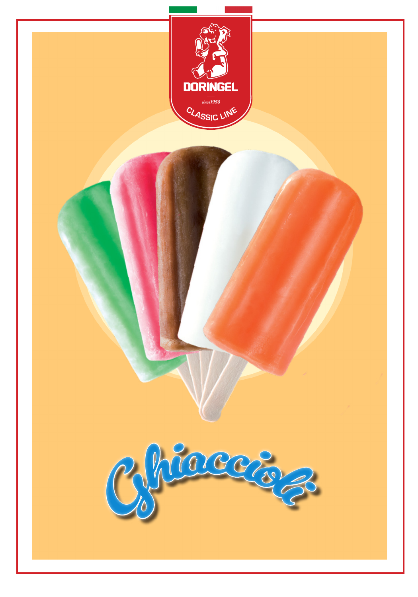